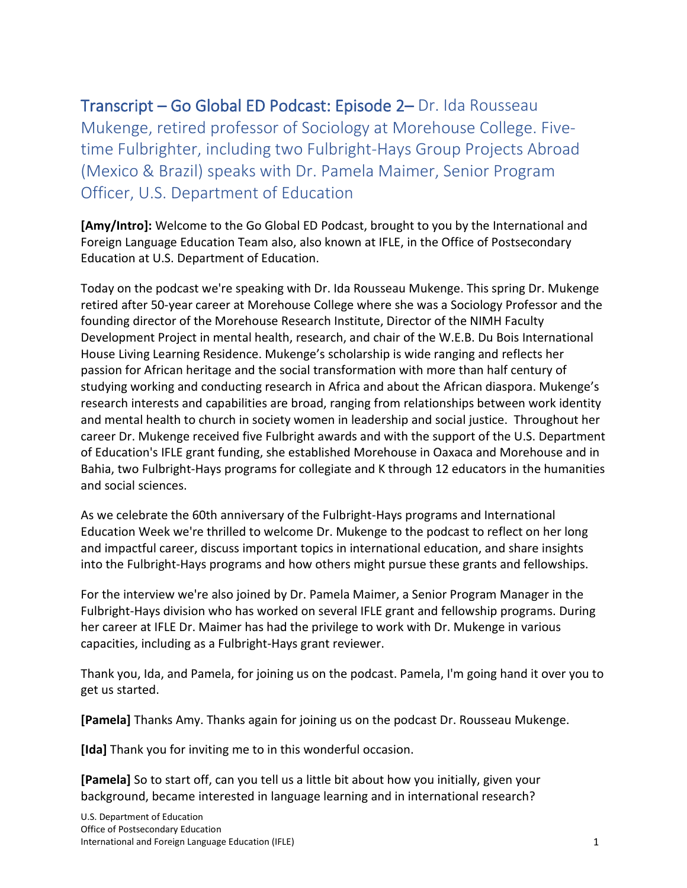Transcript – Go Global ED Podcast: Episode 2– Dr. Ida Rousseau Mukenge, retired professor of Sociology at Morehouse College. Fivetime Fulbrighter, including two Fulbright-Hays Group Projects Abroad (Mexico & Brazil) speaks with Dr. Pamela Maimer, Senior Program Officer, U.S. Department of Education

**[Amy/Intro]:** Welcome to the Go Global ED Podcast, brought to you by the International and Foreign Language Education Team also, also known at IFLE, in the Office of Postsecondary Education at U.S. Department of Education.

Today on the podcast we're speaking with Dr. Ida Rousseau Mukenge. This spring Dr. Mukenge retired after 50-year career at Morehouse College where she was a Sociology Professor and the founding director of the Morehouse Research Institute, Director of the NIMH Faculty Development Project in mental health, research, and chair of the W.E.B. Du Bois International House Living Learning Residence. Mukenge's scholarship is wide ranging and reflects her passion for African heritage and the social transformation with more than half century of studying working and conducting research in Africa and about the African diaspora. Mukenge's research interests and capabilities are broad, ranging from relationships between work identity and mental health to church in society women in leadership and social justice. Throughout her career Dr. Mukenge received five Fulbright awards and with the support of the U.S. Department of Education's IFLE grant funding, she established Morehouse in Oaxaca and Morehouse and in Bahia, two Fulbright-Hays programs for collegiate and K through 12 educators in the humanities and social sciences.

As we celebrate the 60th anniversary of the Fulbright-Hays programs and International Education Week we're thrilled to welcome Dr. Mukenge to the podcast to reflect on her long and impactful career, discuss important topics in international education, and share insights into the Fulbright-Hays programs and how others might pursue these grants and fellowships.

For the interview we're also joined by Dr. Pamela Maimer, a Senior Program Manager in the Fulbright-Hays division who has worked on several IFLE grant and fellowship programs. During her career at IFLE Dr. Maimer has had the privilege to work with Dr. Mukenge in various capacities, including as a Fulbright-Hays grant reviewer.

Thank you, Ida, and Pamela, for joining us on the podcast. Pamela, I'm going hand it over you to get us started.

**[Pamela]** Thanks Amy. Thanks again for joining us on the podcast Dr. Rousseau Mukenge.

**[Ida]** Thank you for inviting me to in this wonderful occasion.

**[Pamela]** So to start off, can you tell us a little bit about how you initially, given your background, became interested in language learning and in international research?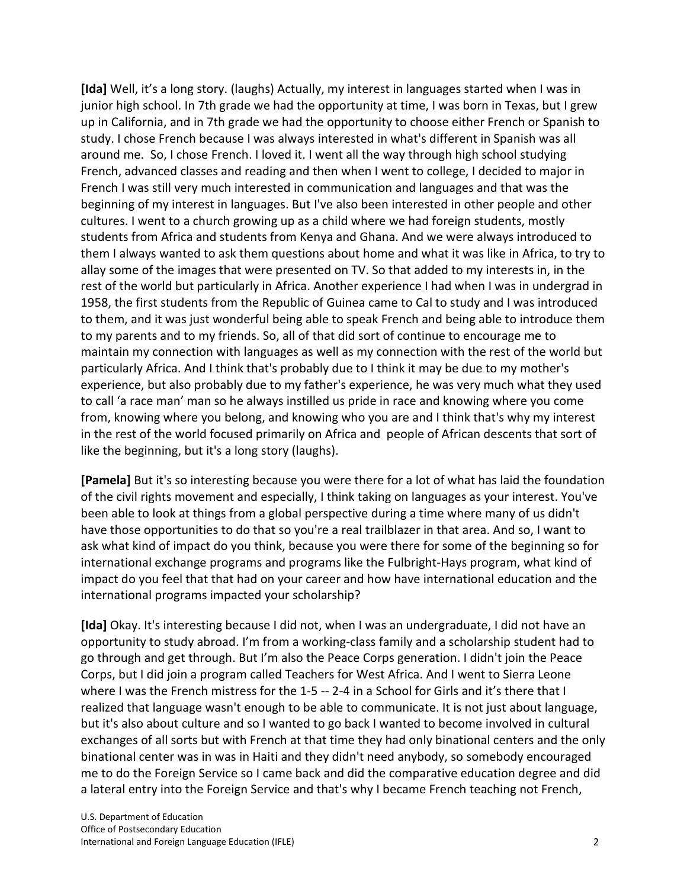**[Ida]** Well, it's a long story. (laughs) Actually, my interest in languages started when I was in junior high school. In 7th grade we had the opportunity at time, I was born in Texas, but I grew up in California, and in 7th grade we had the opportunity to choose either French or Spanish to study. I chose French because I was always interested in what's different in Spanish was all around me. So, I chose French. I loved it. I went all the way through high school studying French, advanced classes and reading and then when I went to college, I decided to major in French I was still very much interested in communication and languages and that was the beginning of my interest in languages. But I've also been interested in other people and other cultures. I went to a church growing up as a child where we had foreign students, mostly students from Africa and students from Kenya and Ghana. And we were always introduced to them I always wanted to ask them questions about home and what it was like in Africa, to try to allay some of the images that were presented on TV. So that added to my interests in, in the rest of the world but particularly in Africa. Another experience I had when I was in undergrad in 1958, the first students from the Republic of Guinea came to Cal to study and I was introduced to them, and it was just wonderful being able to speak French and being able to introduce them to my parents and to my friends. So, all of that did sort of continue to encourage me to maintain my connection with languages as well as my connection with the rest of the world but particularly Africa. And I think that's probably due to I think it may be due to my mother's experience, but also probably due to my father's experience, he was very much what they used to call 'a race man' man so he always instilled us pride in race and knowing where you come from, knowing where you belong, and knowing who you are and I think that's why my interest in the rest of the world focused primarily on Africa and people of African descents that sort of like the beginning, but it's a long story (laughs).

**[Pamela]** But it's so interesting because you were there for a lot of what has laid the foundation of the civil rights movement and especially, I think taking on languages as your interest. You've been able to look at things from a global perspective during a time where many of us didn't have those opportunities to do that so you're a real trailblazer in that area. And so, I want to ask what kind of impact do you think, because you were there for some of the beginning so for international exchange programs and programs like the Fulbright-Hays program, what kind of impact do you feel that that had on your career and how have international education and the international programs impacted your scholarship?

**[Ida]** Okay. It's interesting because I did not, when I was an undergraduate, I did not have an opportunity to study abroad. I'm from a working-class family and a scholarship student had to go through and get through. But I'm also the Peace Corps generation. I didn't join the Peace Corps, but I did join a program called Teachers for West Africa. And I went to Sierra Leone where I was the French mistress for the 1-5 -- 2-4 in a School for Girls and it's there that I realized that language wasn't enough to be able to communicate. It is not just about language, but it's also about culture and so I wanted to go back I wanted to become involved in cultural exchanges of all sorts but with French at that time they had only binational centers and the only binational center was in was in Haiti and they didn't need anybody, so somebody encouraged me to do the Foreign Service so I came back and did the comparative education degree and did a lateral entry into the Foreign Service and that's why I became French teaching not French,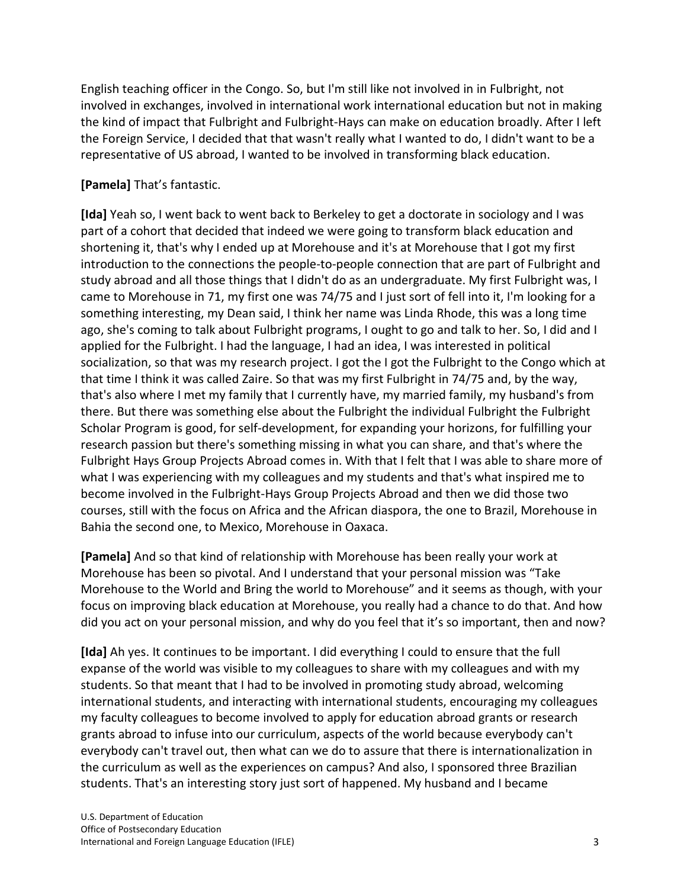English teaching officer in the Congo. So, but I'm still like not involved in in Fulbright, not involved in exchanges, involved in international work international education but not in making the kind of impact that Fulbright and Fulbright-Hays can make on education broadly. After I left the Foreign Service, I decided that that wasn't really what I wanted to do, I didn't want to be a representative of US abroad, I wanted to be involved in transforming black education.

## **[Pamela]** That's fantastic.

**[Ida]** Yeah so, I went back to went back to Berkeley to get a doctorate in sociology and I was part of a cohort that decided that indeed we were going to transform black education and shortening it, that's why I ended up at Morehouse and it's at Morehouse that I got my first introduction to the connections the people-to-people connection that are part of Fulbright and study abroad and all those things that I didn't do as an undergraduate. My first Fulbright was, I came to Morehouse in 71, my first one was 74/75 and I just sort of fell into it, I'm looking for a something interesting, my Dean said, I think her name was Linda Rhode, this was a long time ago, she's coming to talk about Fulbright programs, I ought to go and talk to her. So, I did and I applied for the Fulbright. I had the language, I had an idea, I was interested in political socialization, so that was my research project. I got the I got the Fulbright to the Congo which at that time I think it was called Zaire. So that was my first Fulbright in 74/75 and, by the way, that's also where I met my family that I currently have, my married family, my husband's from there. But there was something else about the Fulbright the individual Fulbright the Fulbright Scholar Program is good, for self-development, for expanding your horizons, for fulfilling your research passion but there's something missing in what you can share, and that's where the Fulbright Hays Group Projects Abroad comes in. With that I felt that I was able to share more of what I was experiencing with my colleagues and my students and that's what inspired me to become involved in the Fulbright-Hays Group Projects Abroad and then we did those two courses, still with the focus on Africa and the African diaspora, the one to Brazil, Morehouse in Bahia the second one, to Mexico, Morehouse in Oaxaca.

**[Pamela]** And so that kind of relationship with Morehouse has been really your work at Morehouse has been so pivotal. And I understand that your personal mission was "Take Morehouse to the World and Bring the world to Morehouse" and it seems as though, with your focus on improving black education at Morehouse, you really had a chance to do that. And how did you act on your personal mission, and why do you feel that it's so important, then and now?

**[Ida]** Ah yes. It continues to be important. I did everything I could to ensure that the full expanse of the world was visible to my colleagues to share with my colleagues and with my students. So that meant that I had to be involved in promoting study abroad, welcoming international students, and interacting with international students, encouraging my colleagues my faculty colleagues to become involved to apply for education abroad grants or research grants abroad to infuse into our curriculum, aspects of the world because everybody can't everybody can't travel out, then what can we do to assure that there is internationalization in the curriculum as well as the experiences on campus? And also, I sponsored three Brazilian students. That's an interesting story just sort of happened. My husband and I became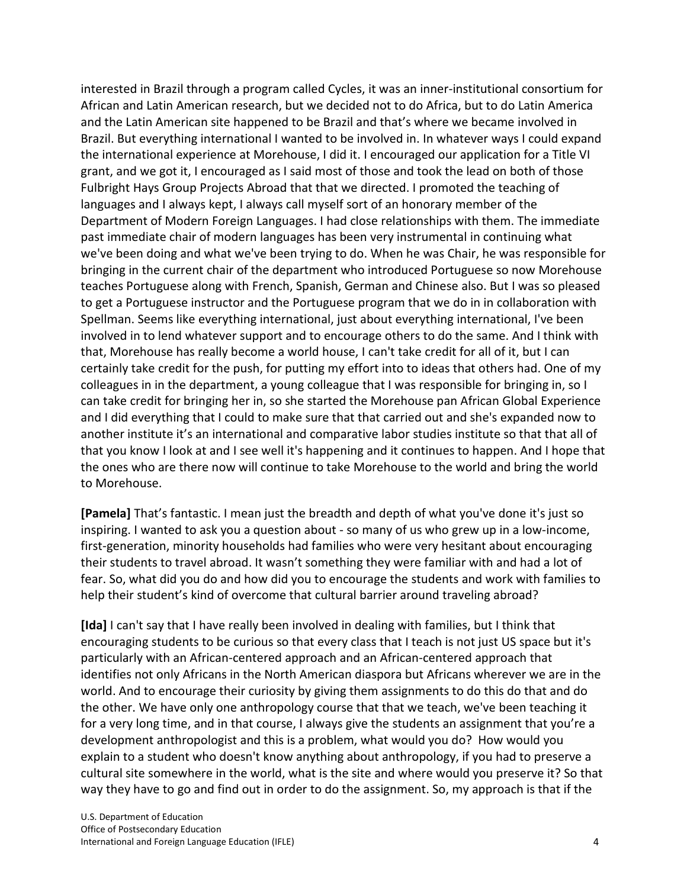interested in Brazil through a program called Cycles, it was an inner-institutional consortium for African and Latin American research, but we decided not to do Africa, but to do Latin America and the Latin American site happened to be Brazil and that's where we became involved in Brazil. But everything international I wanted to be involved in. In whatever ways I could expand the international experience at Morehouse, I did it. I encouraged our application for a Title VI grant, and we got it, I encouraged as I said most of those and took the lead on both of those Fulbright Hays Group Projects Abroad that that we directed. I promoted the teaching of languages and I always kept, I always call myself sort of an honorary member of the Department of Modern Foreign Languages. I had close relationships with them. The immediate past immediate chair of modern languages has been very instrumental in continuing what we've been doing and what we've been trying to do. When he was Chair, he was responsible for bringing in the current chair of the department who introduced Portuguese so now Morehouse teaches Portuguese along with French, Spanish, German and Chinese also. But I was so pleased to get a Portuguese instructor and the Portuguese program that we do in in collaboration with Spellman. Seems like everything international, just about everything international, I've been involved in to lend whatever support and to encourage others to do the same. And I think with that, Morehouse has really become a world house, I can't take credit for all of it, but I can certainly take credit for the push, for putting my effort into to ideas that others had. One of my colleagues in in the department, a young colleague that I was responsible for bringing in, so I can take credit for bringing her in, so she started the Morehouse pan African Global Experience and I did everything that I could to make sure that that carried out and she's expanded now to another institute it's an international and comparative labor studies institute so that that all of that you know I look at and I see well it's happening and it continues to happen. And I hope that the ones who are there now will continue to take Morehouse to the world and bring the world to Morehouse.

**[Pamela]** That's fantastic. I mean just the breadth and depth of what you've done it's just so inspiring. I wanted to ask you a question about - so many of us who grew up in a low-income, first-generation, minority households had families who were very hesitant about encouraging their students to travel abroad. It wasn't something they were familiar with and had a lot of fear. So, what did you do and how did you to encourage the students and work with families to help their student's kind of overcome that cultural barrier around traveling abroad?

**[Ida]** I can't say that I have really been involved in dealing with families, but I think that encouraging students to be curious so that every class that I teach is not just US space but it's particularly with an African-centered approach and an African-centered approach that identifies not only Africans in the North American diaspora but Africans wherever we are in the world. And to encourage their curiosity by giving them assignments to do this do that and do the other. We have only one anthropology course that that we teach, we've been teaching it for a very long time, and in that course, I always give the students an assignment that you're a development anthropologist and this is a problem, what would you do? How would you explain to a student who doesn't know anything about anthropology, if you had to preserve a cultural site somewhere in the world, what is the site and where would you preserve it? So that way they have to go and find out in order to do the assignment. So, my approach is that if the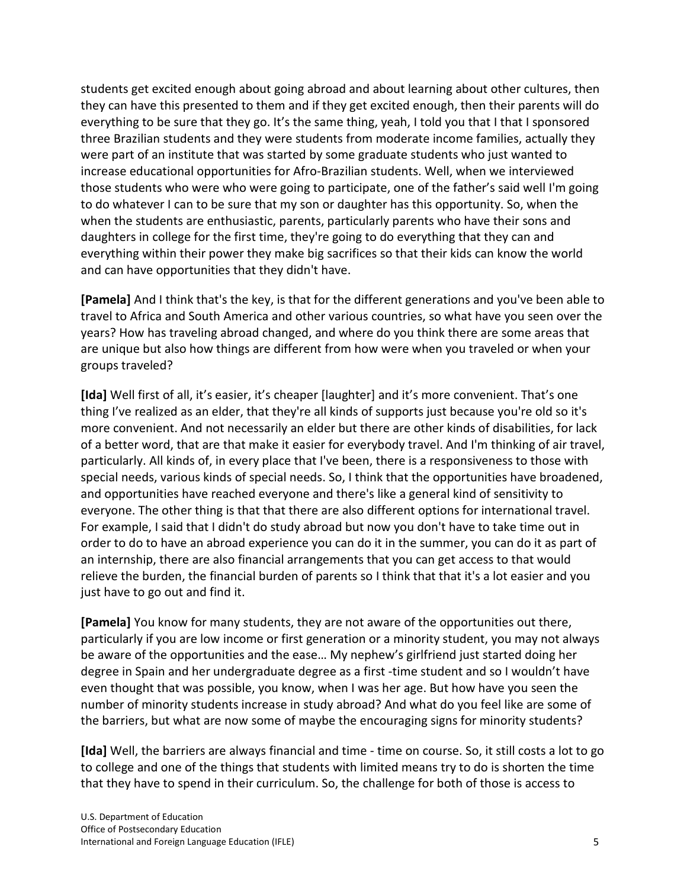students get excited enough about going abroad and about learning about other cultures, then they can have this presented to them and if they get excited enough, then their parents will do everything to be sure that they go. It's the same thing, yeah, I told you that I that I sponsored three Brazilian students and they were students from moderate income families, actually they were part of an institute that was started by some graduate students who just wanted to increase educational opportunities for Afro-Brazilian students. Well, when we interviewed those students who were who were going to participate, one of the father's said well I'm going to do whatever I can to be sure that my son or daughter has this opportunity. So, when the when the students are enthusiastic, parents, particularly parents who have their sons and daughters in college for the first time, they're going to do everything that they can and everything within their power they make big sacrifices so that their kids can know the world and can have opportunities that they didn't have.

**[Pamela]** And I think that's the key, is that for the different generations and you've been able to travel to Africa and South America and other various countries, so what have you seen over the years? How has traveling abroad changed, and where do you think there are some areas that are unique but also how things are different from how were when you traveled or when your groups traveled?

**[Ida]** Well first of all, it's easier, it's cheaper [laughter] and it's more convenient. That's one thing I've realized as an elder, that they're all kinds of supports just because you're old so it's more convenient. And not necessarily an elder but there are other kinds of disabilities, for lack of a better word, that are that make it easier for everybody travel. And I'm thinking of air travel, particularly. All kinds of, in every place that I've been, there is a responsiveness to those with special needs, various kinds of special needs. So, I think that the opportunities have broadened, and opportunities have reached everyone and there's like a general kind of sensitivity to everyone. The other thing is that that there are also different options for international travel. For example, I said that I didn't do study abroad but now you don't have to take time out in order to do to have an abroad experience you can do it in the summer, you can do it as part of an internship, there are also financial arrangements that you can get access to that would relieve the burden, the financial burden of parents so I think that that it's a lot easier and you just have to go out and find it.

**[Pamela]** You know for many students, they are not aware of the opportunities out there, particularly if you are low income or first generation or a minority student, you may not always be aware of the opportunities and the ease… My nephew's girlfriend just started doing her degree in Spain and her undergraduate degree as a first -time student and so I wouldn't have even thought that was possible, you know, when I was her age. But how have you seen the number of minority students increase in study abroad? And what do you feel like are some of the barriers, but what are now some of maybe the encouraging signs for minority students?

**[Ida]** Well, the barriers are always financial and time - time on course. So, it still costs a lot to go to college and one of the things that students with limited means try to do is shorten the time that they have to spend in their curriculum. So, the challenge for both of those is access to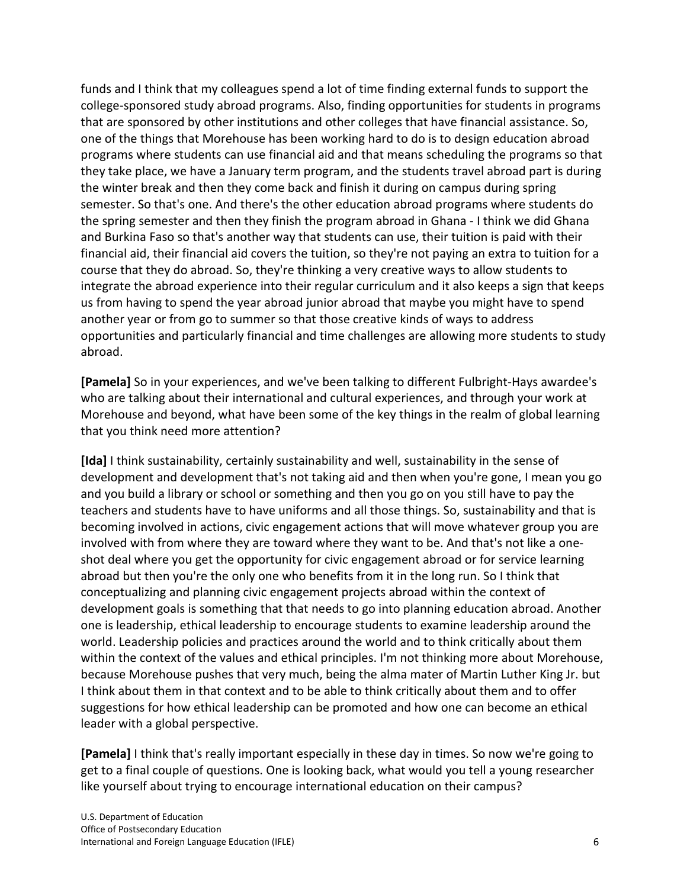funds and I think that my colleagues spend a lot of time finding external funds to support the college-sponsored study abroad programs. Also, finding opportunities for students in programs that are sponsored by other institutions and other colleges that have financial assistance. So, one of the things that Morehouse has been working hard to do is to design education abroad programs where students can use financial aid and that means scheduling the programs so that they take place, we have a January term program, and the students travel abroad part is during the winter break and then they come back and finish it during on campus during spring semester. So that's one. And there's the other education abroad programs where students do the spring semester and then they finish the program abroad in Ghana - I think we did Ghana and Burkina Faso so that's another way that students can use, their tuition is paid with their financial aid, their financial aid covers the tuition, so they're not paying an extra to tuition for a course that they do abroad. So, they're thinking a very creative ways to allow students to integrate the abroad experience into their regular curriculum and it also keeps a sign that keeps us from having to spend the year abroad junior abroad that maybe you might have to spend another year or from go to summer so that those creative kinds of ways to address opportunities and particularly financial and time challenges are allowing more students to study abroad.

**[Pamela]** So in your experiences, and we've been talking to different Fulbright-Hays awardee's who are talking about their international and cultural experiences, and through your work at Morehouse and beyond, what have been some of the key things in the realm of global learning that you think need more attention?

**[Ida]** I think sustainability, certainly sustainability and well, sustainability in the sense of development and development that's not taking aid and then when you're gone, I mean you go and you build a library or school or something and then you go on you still have to pay the teachers and students have to have uniforms and all those things. So, sustainability and that is becoming involved in actions, civic engagement actions that will move whatever group you are involved with from where they are toward where they want to be. And that's not like a oneshot deal where you get the opportunity for civic engagement abroad or for service learning abroad but then you're the only one who benefits from it in the long run. So I think that conceptualizing and planning civic engagement projects abroad within the context of development goals is something that that needs to go into planning education abroad. Another one is leadership, ethical leadership to encourage students to examine leadership around the world. Leadership policies and practices around the world and to think critically about them within the context of the values and ethical principles. I'm not thinking more about Morehouse, because Morehouse pushes that very much, being the alma mater of Martin Luther King Jr. but I think about them in that context and to be able to think critically about them and to offer suggestions for how ethical leadership can be promoted and how one can become an ethical leader with a global perspective.

**[Pamela]** I think that's really important especially in these day in times. So now we're going to get to a final couple of questions. One is looking back, what would you tell a young researcher like yourself about trying to encourage international education on their campus?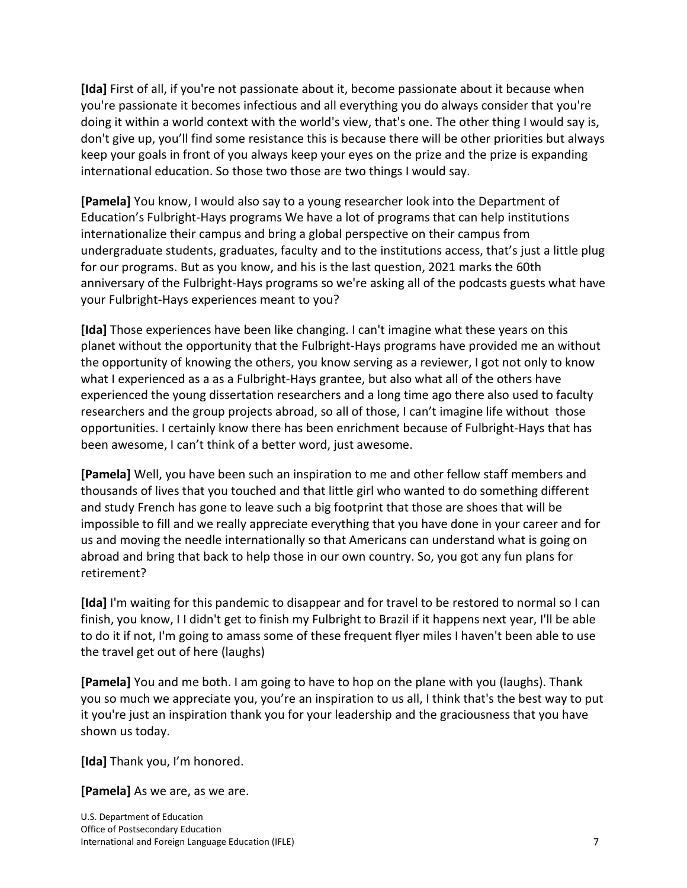**[Ida]** First of all, if you're not passionate about it, become passionate about it because when you're passionate it becomes infectious and all everything you do always consider that you're doing it within a world context with the world's view, that's one. The other thing I would say is, don't give up, you'll find some resistance this is because there will be other priorities but always keep your goals in front of you always keep your eyes on the prize and the prize is expanding international education. So those two those are two things I would say.

**[Pamela]** You know, I would also say to a young researcher look into the Department of Education's Fulbright-Hays programs We have a lot of programs that can help institutions internationalize their campus and bring a global perspective on their campus from undergraduate students, graduates, faculty and to the institutions access, that's just a little plug for our programs. But as you know, and his is the last question, 2021 marks the 60th anniversary of the Fulbright-Hays programs so we're asking all of the podcasts guests what have your Fulbright-Hays experiences meant to you?

**[Ida]** Those experiences have been like changing. I can't imagine what these years on this planet without the opportunity that the Fulbright-Hays programs have provided me an without the opportunity of knowing the others, you know serving as a reviewer, I got not only to know what I experienced as a as a Fulbright-Hays grantee, but also what all of the others have experienced the young dissertation researchers and a long time ago there also used to faculty researchers and the group projects abroad, so all of those, I can't imagine life without those opportunities. I certainly know there has been enrichment because of Fulbright-Hays that has been awesome, I can't think of a better word, just awesome.

**[Pamela]** Well, you have been such an inspiration to me and other fellow staff members and thousands of lives that you touched and that little girl who wanted to do something different and study French has gone to leave such a big footprint that those are shoes that will be impossible to fill and we really appreciate everything that you have done in your career and for us and moving the needle internationally so that Americans can understand what is going on abroad and bring that back to help those in our own country. So, you got any fun plans for retirement?

**[Ida]** I'm waiting for this pandemic to disappear and for travel to be restored to normal so I can finish, you know, I I didn't get to finish my Fulbright to Brazil if it happens next year, I'll be able to do it if not, I'm going to amass some of these frequent flyer miles I haven't been able to use the travel get out of here (laughs)

**[Pamela]** You and me both. I am going to have to hop on the plane with you (laughs). Thank you so much we appreciate you, you're an inspiration to us all, I think that's the best way to put it you're just an inspiration thank you for your leadership and the graciousness that you have shown us today.

**[Ida]** Thank you, I'm honored.

**[Pamela]** As we are, as we are.